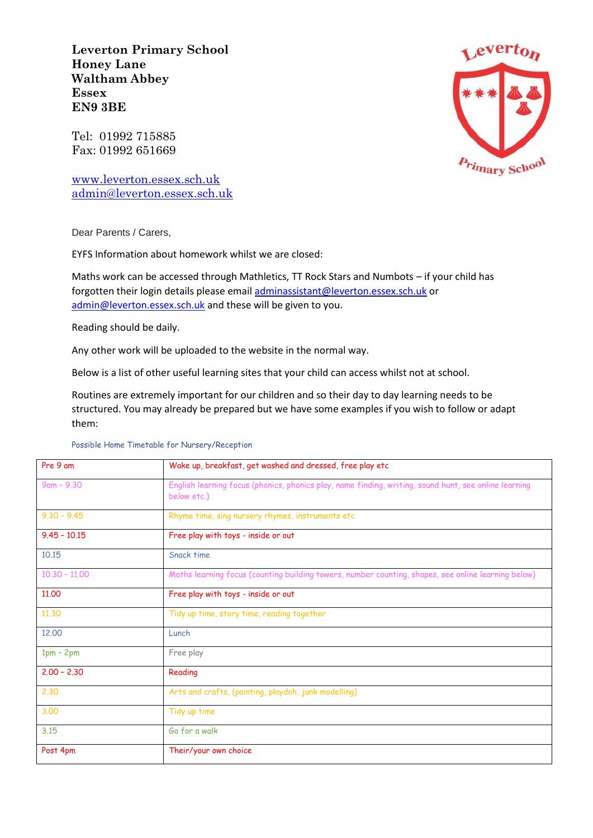**Leverton Primary School Honey Lane Waltham Abbey Essex EN9 3BE**

Tel: 01992 715885 Fax: 01992 651669

[www.leverton.essex.sch.uk](http://www.leverton.essex.sch.uk/) [admin@leverton.essex.sch.uk](mailto:admin@leverton.essex.sch.uk)



Dear Parents / Carers,

EYFS Information about homework whilst we are closed:

Maths work can be accessed through Mathletics, TT Rock Stars and Numbots – if your child has forgotten their login details please emai[l adminassistant@leverton.essex.sch.uk](mailto:adminassistant@leverton.essex.sch.uk) or [admin@leverton.essex.sch.uk](mailto:admin@leverton.essex.sch.uk) and these will be given to you.

Reading should be daily.

Any other work will be uploaded to the website in the normal way.

Below is a list of other useful learning sites that your child can access whilst not at school.

Routines are extremely important for our children and so their day to day learning needs to be structured. You may already be prepared but we have some examples if you wish to follow or adapt them:

| Pre 9 am        | Wake up, breakfast, get washed and dressed, free play etc                                                            |
|-----------------|----------------------------------------------------------------------------------------------------------------------|
| $9am - 9.30$    | English learning focus (phonics, phonics play, name finding, writing, sound hunt, see online learning<br>below etc.) |
| $9.30 - 9.45$   | Rhyme time, sing nursery rhymes, instruments etc                                                                     |
| $9.45 - 10.15$  | Free play with toys - inside or out                                                                                  |
| 10.15           | Snack time                                                                                                           |
| $10.30 - 11.00$ | Maths learning focus (counting building towers, number counting, shapes, see online learning below)                  |
| 11.00           | Free play with toys - inside or out                                                                                  |
| 11.30           | Tidy up time, story time, reading together                                                                           |
| 12.00           | Lunch                                                                                                                |
| $1pm - 2pm$     | Free play                                                                                                            |
| $2.00 - 2.30$   | Reading                                                                                                              |
| 2.30            | Arts and crafts, (painting, playdoh, junk modelling)                                                                 |
| 3.00            | Tidy up time                                                                                                         |
| 3.15            | Go for a walk                                                                                                        |
| Post 4pm        | Their/your own choice                                                                                                |

Possible Home Timetable for Nursery/Reception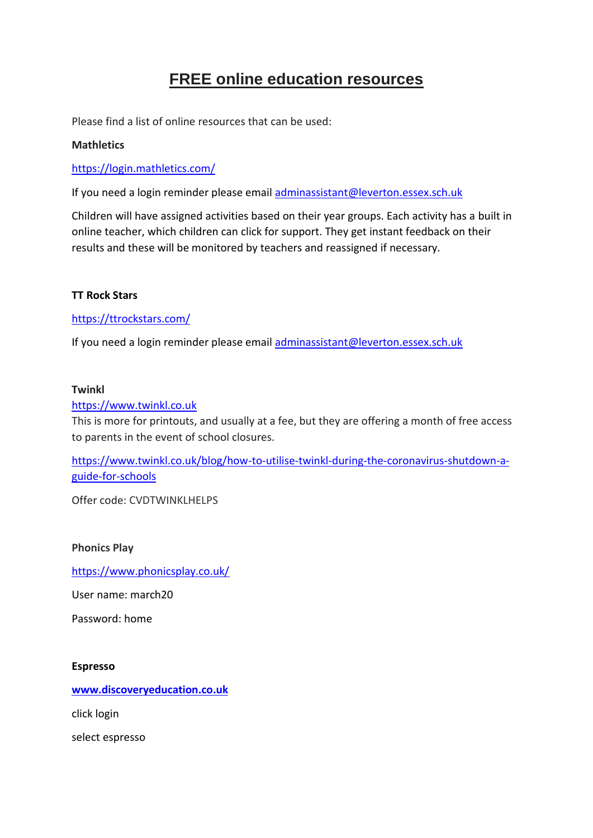# **FREE online education resources**

Please find a list of online resources that can be used:

#### **Mathletics**

#### <https://login.mathletics.com/>

If you need a login reminder please email [adminassistant@leverton.essex.sch.uk](mailto:adminassistant@leverton.essex.sch.uk)

Children will have assigned activities based on their year groups. Each activity has a built in online teacher, which children can click for support. They get instant feedback on their results and these will be monitored by teachers and reassigned if necessary.

#### **TT Rock Stars**

<https://ttrockstars.com/>

If you need a login reminder please email [adminassistant@leverton.essex.sch.uk](mailto:adminassistant@leverton.essex.sch.uk)

#### **Twinkl**

#### [https://www.twinkl.co.uk](https://www.twinkl.co.uk/)

This is more for printouts, and usually at a fee, but they are offering a month of free access to parents in the event of school closures.

# [https://www.twinkl.co.uk/blog/how-to-utilise-twinkl-during-the-coronavirus-shutdown-a](https://www.twinkl.co.uk/blog/how-to-utilise-twinkl-during-the-coronavirus-shutdown-a-guide-for-schools)[guide-for-schools](https://www.twinkl.co.uk/blog/how-to-utilise-twinkl-during-the-coronavirus-shutdown-a-guide-for-schools)

Offer code: CVDTWINKLHELPS

**Phonics Play**

<https://www.phonicsplay.co.uk/>

User name: march20

Password: home

#### **Espresso**

#### **[www.discoveryeducation.co.uk](http://www.discoveryeducation.co.uk/)**

click login

select espresso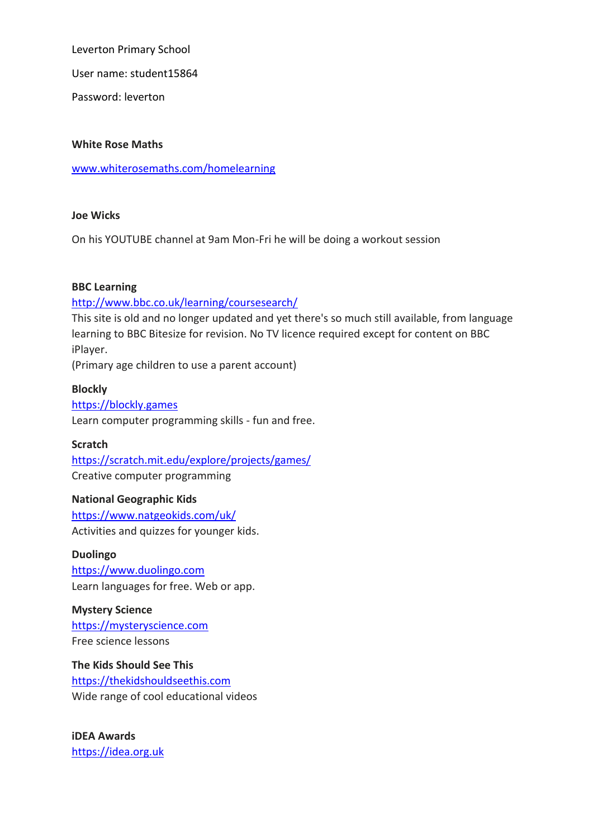Leverton Primary School

User name: student15864

Password: leverton

#### **White Rose Maths**

[www.whiterosemaths.com/homelearning](http://www.whiterosemaths.com/homelearning)

#### **Joe Wicks**

On his YOUTUBE channel at 9am Mon-Fri he will be doing a workout session

# **BBC Learning**

# <http://www.bbc.co.uk/learning/coursesearch/>

This site is old and no longer updated and yet there's so much still available, from language learning to BBC Bitesize for revision. No TV licence required except for content on BBC iPlayer.

(Primary age children to use a parent account)

#### **Blockly**

[https://blockly.games](https://blockly.games/) Learn computer programming skills - fun and free.

#### **Scratch**

<https://scratch.mit.edu/explore/projects/games/> Creative computer programming

# **National Geographic Kids**

<https://www.natgeokids.com/uk/> Activities and quizzes for younger kids.

# **Duolingo**

[https://www.duolingo.com](https://www.duolingo.com/) Learn languages for free. Web or app.

# **Mystery Science** [https://mysteryscience.com](https://mysteryscience.com/)

Free science lessons

# **The Kids Should See This** [https://thekidshouldseethis.com](https://thekidshouldseethis.com/) Wide range of cool educational videos

**iDEA Awards** [https://idea.org.uk](https://idea.org.uk/)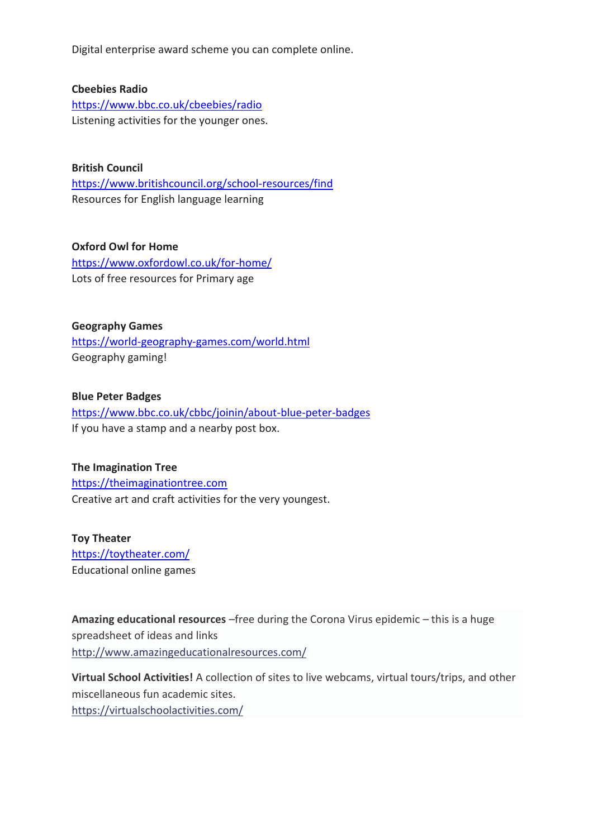Digital enterprise award scheme you can complete online.

**Cbeebies Radio** <https://www.bbc.co.uk/cbeebies/radio> Listening activities for the younger ones.

#### **British Council**

<https://www.britishcouncil.org/school-resources/find> Resources for English language learning

# **Oxford Owl for Home**

<https://www.oxfordowl.co.uk/for-home/> Lots of free resources for Primary age

#### **Geography Games**

<https://world-geography-games.com/world.html> Geography gaming!

#### **Blue Peter Badges**

<https://www.bbc.co.uk/cbbc/joinin/about-blue-peter-badges> If you have a stamp and a nearby post box.

#### **The Imagination Tree**

[https://theimaginationtree.com](https://theimaginationtree.com/) Creative art and craft activities for the very youngest.

# **Toy Theater**

<https://toytheater.com/> Educational online games

**Amazing educational resources** –free during the Corona Virus epidemic – this is a huge spreadsheet of ideas and links <http://www.amazingeducationalresources.com/>

**Virtual School Activities!** A collection of sites to live webcams, virtual tours/trips, and other miscellaneous fun academic sites. <https://virtualschoolactivities.com/>